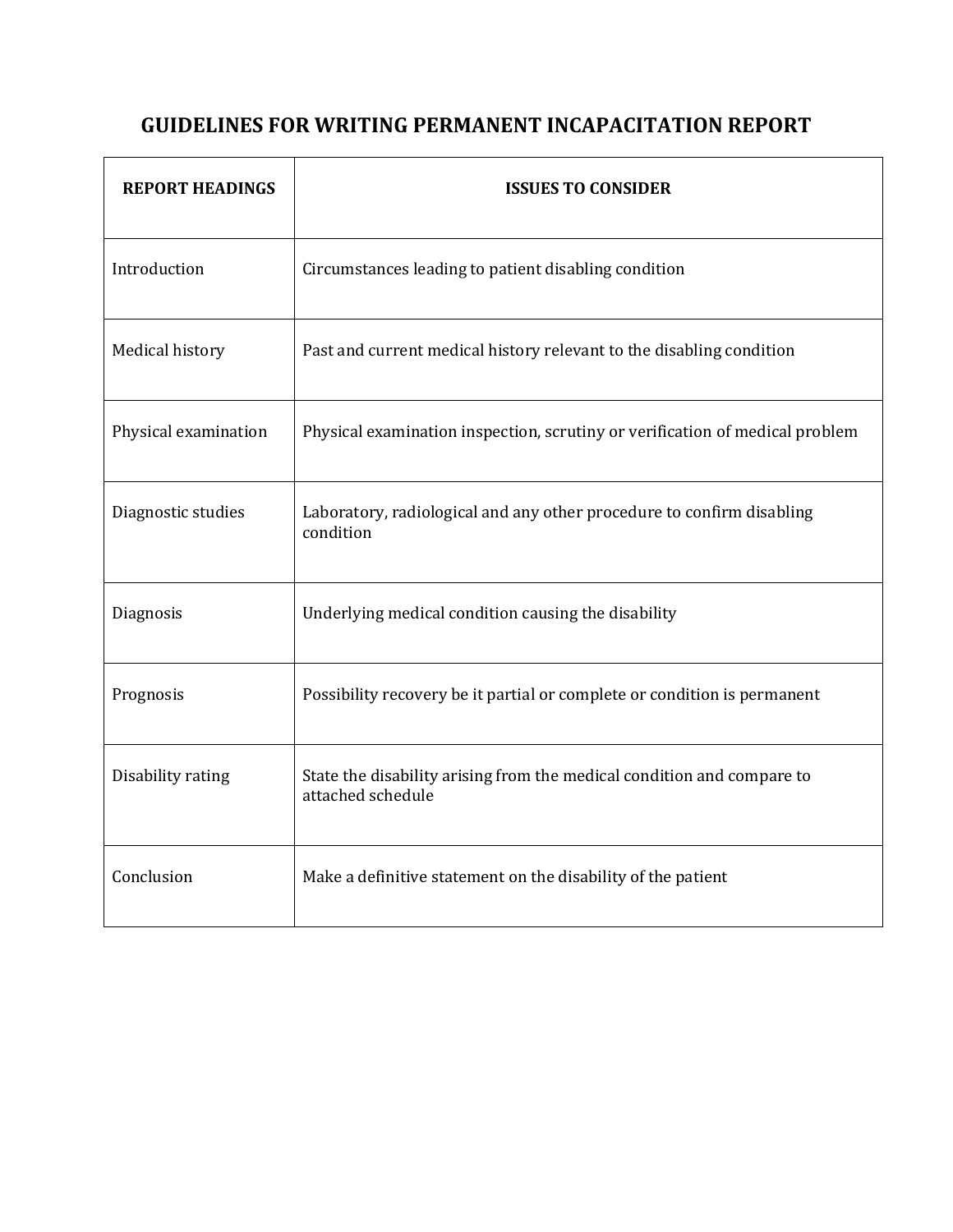# **GUIDELINES FOR WRITING PERMANENT INCAPACITATION REPORT**

| <b>REPORT HEADINGS</b> | <b>ISSUES TO CONSIDER</b>                                                                   |
|------------------------|---------------------------------------------------------------------------------------------|
| Introduction           | Circumstances leading to patient disabling condition                                        |
| Medical history        | Past and current medical history relevant to the disabling condition                        |
| Physical examination   | Physical examination inspection, scrutiny or verification of medical problem                |
| Diagnostic studies     | Laboratory, radiological and any other procedure to confirm disabling<br>condition          |
| Diagnosis              | Underlying medical condition causing the disability                                         |
| Prognosis              | Possibility recovery be it partial or complete or condition is permanent                    |
| Disability rating      | State the disability arising from the medical condition and compare to<br>attached schedule |
| Conclusion             | Make a definitive statement on the disability of the patient                                |